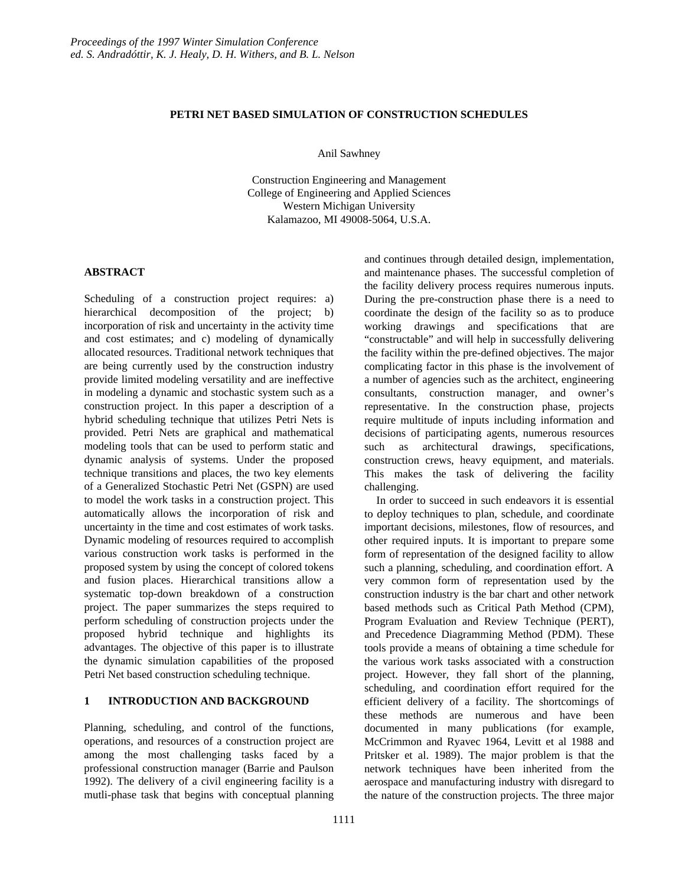### **PETRI NET BASED SIMULATION OF CONSTRUCTION SCHEDULES**

Anil Sawhney

Construction Engineering and Management College of Engineering and Applied Sciences Western Michigan University Kalamazoo, MI 49008-5064, U.S.A.

### **ABSTRACT**

Scheduling of a construction project requires: a) hierarchical decomposition of the project; b) incorporation of risk and uncertainty in the activity time and cost estimates; and c) modeling of dynamically allocated resources. Traditional network techniques that are being currently used by the construction industry provide limited modeling versatility and are ineffective in modeling a dynamic and stochastic system such as a construction project. In this paper a description of a hybrid scheduling technique that utilizes Petri Nets is provided. Petri Nets are graphical and mathematical modeling tools that can be used to perform static and dynamic analysis of systems. Under the proposed technique transitions and places, the two key elements of a Generalized Stochastic Petri Net (GSPN) are used to model the work tasks in a construction project. This automatically allows the incorporation of risk and uncertainty in the time and cost estimates of work tasks. Dynamic modeling of resources required to accomplish various construction work tasks is performed in the proposed system by using the concept of colored tokens and fusion places. Hierarchical transitions allow a systematic top-down breakdown of a construction project. The paper summarizes the steps required to perform scheduling of construction projects under the proposed hybrid technique and highlights its advantages. The objective of this paper is to illustrate the dynamic simulation capabilities of the proposed Petri Net based construction scheduling technique.

## **1 INTRODUCTION AND BACKGROUND**

Planning, scheduling, and control of the functions, operations, and resources of a construction project are among the most challenging tasks faced by a professional construction manager (Barrie and Paulson 1992). The delivery of a civil engineering facility is a mutli-phase task that begins with conceptual planning and continues through detailed design, implementation, and maintenance phases. The successful completion of the facility delivery process requires numerous inputs. During the pre-construction phase there is a need to coordinate the design of the facility so as to produce working drawings and specifications that are "constructable" and will help in successfully delivering the facility within the pre-defined objectives. The major complicating factor in this phase is the involvement of a number of agencies such as the architect, engineering consultants, construction manager, and owner's representative. In the construction phase, projects require multitude of inputs including information and decisions of participating agents, numerous resources such as architectural drawings, specifications, construction crews, heavy equipment, and materials. This makes the task of delivering the facility challenging.

In order to succeed in such endeavors it is essential to deploy techniques to plan, schedule, and coordinate important decisions, milestones, flow of resources, and other required inputs. It is important to prepare some form of representation of the designed facility to allow such a planning, scheduling, and coordination effort. A very common form of representation used by the construction industry is the bar chart and other network based methods such as Critical Path Method (CPM), Program Evaluation and Review Technique (PERT), and Precedence Diagramming Method (PDM). These tools provide a means of obtaining a time schedule for the various work tasks associated with a construction project. However, they fall short of the planning, scheduling, and coordination effort required for the efficient delivery of a facility. The shortcomings of these methods are numerous and have been documented in many publications (for example, McCrimmon and Ryavec 1964, Levitt et al 1988 and Pritsker et al. 1989). The major problem is that the network techniques have been inherited from the aerospace and manufacturing industry with disregard to the nature of the construction projects. The three major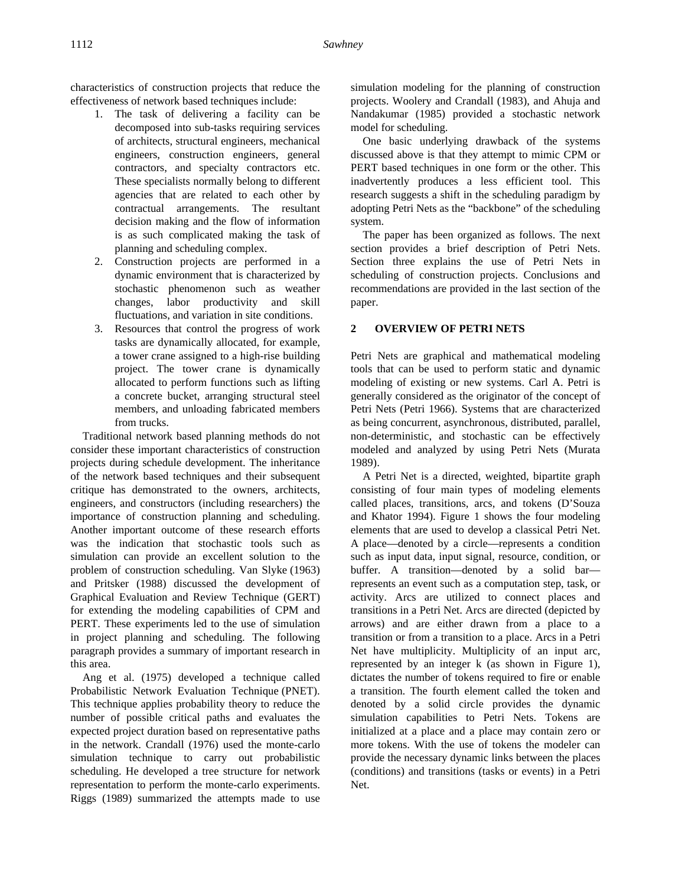characteristics of construction projects that reduce the effectiveness of network based techniques include:

- 1. The task of delivering a facility can be decomposed into sub-tasks requiring services of architects, structural engineers, mechanical engineers, construction engineers, general contractors, and specialty contractors etc. These specialists normally belong to different agencies that are related to each other by contractual arrangements. The resultant decision making and the flow of information is as such complicated making the task of planning and scheduling complex.
- 2. Construction projects are performed in a dynamic environment that is characterized by stochastic phenomenon such as weather changes, labor productivity and skill fluctuations, and variation in site conditions.
- 3. Resources that control the progress of work tasks are dynamically allocated, for example, a tower crane assigned to a high-rise building project. The tower crane is dynamically allocated to perform functions such as lifting a concrete bucket, arranging structural steel members, and unloading fabricated members from trucks.

Traditional network based planning methods do not consider these important characteristics of construction projects during schedule development. The inheritance of the network based techniques and their subsequent critique has demonstrated to the owners, architects, engineers, and constructors (including researchers) the importance of construction planning and scheduling. Another important outcome of these research efforts was the indication that stochastic tools such as simulation can provide an excellent solution to the problem of construction scheduling. Van Slyke (1963) and Pritsker (1988) discussed the development of Graphical Evaluation and Review Technique (GERT) for extending the modeling capabilities of CPM and PERT. These experiments led to the use of simulation in project planning and scheduling. The following paragraph provides a summary of important research in this area.

Ang et al. (1975) developed a technique called Probabilistic Network Evaluation Technique (PNET). This technique applies probability theory to reduce the number of possible critical paths and evaluates the expected project duration based on representative paths in the network. Crandall (1976) used the monte-carlo simulation technique to carry out probabilistic scheduling. He developed a tree structure for network representation to perform the monte-carlo experiments. Riggs (1989) summarized the attempts made to use

simulation modeling for the planning of construction projects. Woolery and Crandall (1983), and Ahuja and Nandakumar (1985) provided a stochastic network model for scheduling.

One basic underlying drawback of the systems discussed above is that they attempt to mimic CPM or PERT based techniques in one form or the other. This inadvertently produces a less efficient tool. This research suggests a shift in the scheduling paradigm by adopting Petri Nets as the "backbone" of the scheduling system.

The paper has been organized as follows. The next section provides a brief description of Petri Nets. Section three explains the use of Petri Nets in scheduling of construction projects. Conclusions and recommendations are provided in the last section of the paper.

## **2 OVERVIEW OF PETRI NETS**

Petri Nets are graphical and mathematical modeling tools that can be used to perform static and dynamic modeling of existing or new systems. Carl A. Petri is generally considered as the originator of the concept of Petri Nets (Petri 1966). Systems that are characterized as being concurrent, asynchronous, distributed, parallel, non-deterministic, and stochastic can be effectively modeled and analyzed by using Petri Nets (Murata 1989).

A Petri Net is a directed, weighted, bipartite graph consisting of four main types of modeling elements called places, transitions, arcs, and tokens (D'Souza and Khator 1994). Figure 1 shows the four modeling elements that are used to develop a classical Petri Net. A place—denoted by a circle—represents a condition such as input data, input signal, resource, condition, or buffer. A transition—denoted by a solid bar represents an event such as a computation step, task, or activity. Arcs are utilized to connect places and transitions in a Petri Net. Arcs are directed (depicted by arrows) and are either drawn from a place to a transition or from a transition to a place. Arcs in a Petri Net have multiplicity. Multiplicity of an input arc, represented by an integer k (as shown in Figure 1), dictates the number of tokens required to fire or enable a transition. The fourth element called the token and denoted by a solid circle provides the dynamic simulation capabilities to Petri Nets. Tokens are initialized at a place and a place may contain zero or more tokens. With the use of tokens the modeler can provide the necessary dynamic links between the places (conditions) and transitions (tasks or events) in a Petri Net.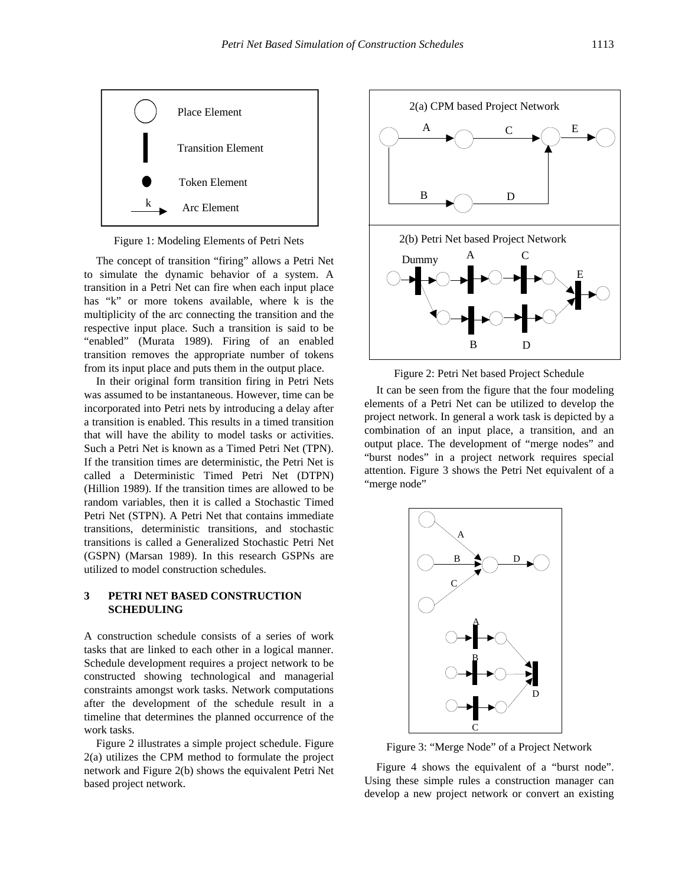

Figure 1: Modeling Elements of Petri Nets

The concept of transition "firing" allows a Petri Net to simulate the dynamic behavior of a system. A transition in a Petri Net can fire when each input place has "k" or more tokens available, where k is the multiplicity of the arc connecting the transition and the respective input place. Such a transition is said to be "enabled" (Murata 1989). Firing of an enabled transition removes the appropriate number of tokens from its input place and puts them in the output place.

In their original form transition firing in Petri Nets was assumed to be instantaneous. However, time can be incorporated into Petri nets by introducing a delay after a transition is enabled. This results in a timed transition that will have the ability to model tasks or activities. Such a Petri Net is known as a Timed Petri Net (TPN). If the transition times are deterministic, the Petri Net is called a Deterministic Timed Petri Net (DTPN) (Hillion 1989). If the transition times are allowed to be random variables, then it is called a Stochastic Timed Petri Net (STPN). A Petri Net that contains immediate transitions, deterministic transitions, and stochastic transitions is called a Generalized Stochastic Petri Net (GSPN) (Marsan 1989). In this research GSPNs are utilized to model construction schedules.

## **3 PETRI NET BASED CONSTRUCTION SCHEDULING**

A construction schedule consists of a series of work tasks that are linked to each other in a logical manner. Schedule development requires a project network to be constructed showing technological and managerial constraints amongst work tasks. Network computations after the development of the schedule result in a timeline that determines the planned occurrence of the work tasks.

Figure 2 illustrates a simple project schedule. Figure 2(a) utilizes the CPM method to formulate the project network and Figure 2(b) shows the equivalent Petri Net based project network.



Figure 2: Petri Net based Project Schedule

It can be seen from the figure that the four modeling elements of a Petri Net can be utilized to develop the project network. In general a work task is depicted by a combination of an input place, a transition, and an output place. The development of "merge nodes" and "burst nodes" in a project network requires special attention. Figure 3 shows the Petri Net equivalent of a "merge node"



Figure 3: "Merge Node" of a Project Network

Figure 4 shows the equivalent of a "burst node". Using these simple rules a construction manager can develop a new project network or convert an existing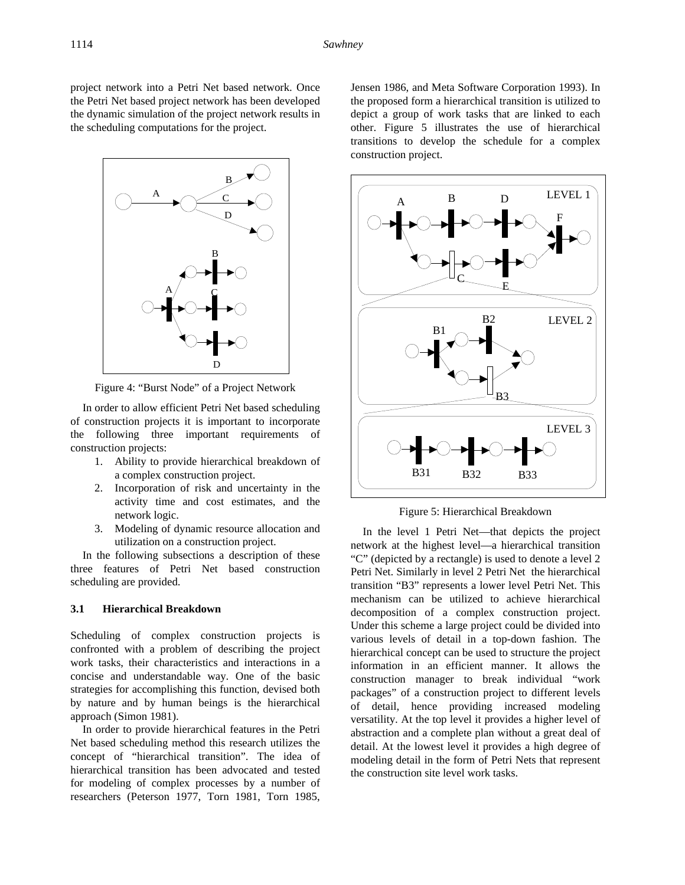project network into a Petri Net based network. Once the Petri Net based project network has been developed the dynamic simulation of the project network results in the scheduling computations for the project.



Figure 4: "Burst Node" of a Project Network

In order to allow efficient Petri Net based scheduling of construction projects it is important to incorporate the following three important requirements of construction projects:

- 1. Ability to provide hierarchical breakdown of a complex construction project.
- 2. Incorporation of risk and uncertainty in the activity time and cost estimates, and the network logic.
- 3. Modeling of dynamic resource allocation and utilization on a construction project.

In the following subsections a description of these three features of Petri Net based construction scheduling are provided.

## **3.1 Hierarchical Breakdown**

Scheduling of complex construction projects is confronted with a problem of describing the project work tasks, their characteristics and interactions in a concise and understandable way. One of the basic strategies for accomplishing this function, devised both by nature and by human beings is the hierarchical approach (Simon 1981).

In order to provide hierarchical features in the Petri Net based scheduling method this research utilizes the concept of "hierarchical transition". The idea of hierarchical transition has been advocated and tested for modeling of complex processes by a number of researchers (Peterson 1977, Torn 1981, Torn 1985,

Jensen 1986, and Meta Software Corporation 1993). In the proposed form a hierarchical transition is utilized to depict a group of work tasks that are linked to each other. Figure 5 illustrates the use of hierarchical transitions to develop the schedule for a complex construction project.



Figure 5: Hierarchical Breakdown

In the level 1 Petri Net—that depicts the project network at the highest level—a hierarchical transition "C" (depicted by a rectangle) is used to denote a level 2 Petri Net. Similarly in level 2 Petri Net the hierarchical transition "B3" represents a lower level Petri Net. This mechanism can be utilized to achieve hierarchical decomposition of a complex construction project. Under this scheme a large project could be divided into various levels of detail in a top-down fashion. The hierarchical concept can be used to structure the project information in an efficient manner. It allows the construction manager to break individual "work packages" of a construction project to different levels of detail, hence providing increased modeling versatility. At the top level it provides a higher level of abstraction and a complete plan without a great deal of detail. At the lowest level it provides a high degree of modeling detail in the form of Petri Nets that represent the construction site level work tasks.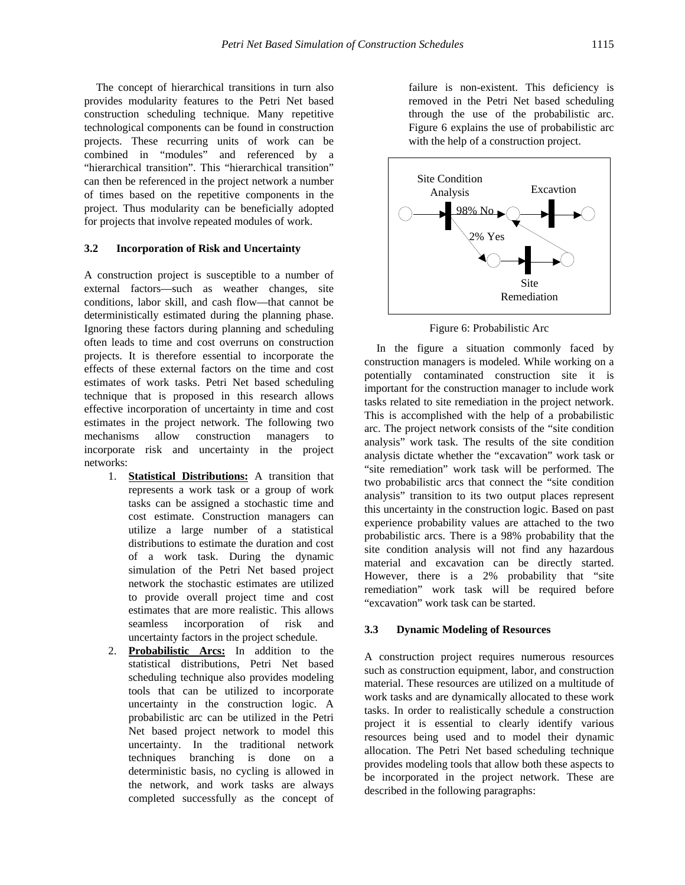The concept of hierarchical transitions in turn also provides modularity features to the Petri Net based construction scheduling technique. Many repetitive technological components can be found in construction projects. These recurring units of work can be combined in "modules" and referenced by a "hierarchical transition". This "hierarchical transition" can then be referenced in the project network a number of times based on the repetitive components in the project. Thus modularity can be beneficially adopted for projects that involve repeated modules of work.

### **3.2 Incorporation of Risk and Uncertainty**

A construction project is susceptible to a number of external factors—such as weather changes, site conditions, labor skill, and cash flow—that cannot be deterministically estimated during the planning phase. Ignoring these factors during planning and scheduling often leads to time and cost overruns on construction projects. It is therefore essential to incorporate the effects of these external factors on the time and cost estimates of work tasks. Petri Net based scheduling technique that is proposed in this research allows effective incorporation of uncertainty in time and cost estimates in the project network. The following two mechanisms allow construction managers to incorporate risk and uncertainty in the project networks:

- 1. **Statistical Distributions:** A transition that represents a work task or a group of work tasks can be assigned a stochastic time and cost estimate. Construction managers can utilize a large number of a statistical distributions to estimate the duration and cost of a work task. During the dynamic simulation of the Petri Net based project network the stochastic estimates are utilized to provide overall project time and cost estimates that are more realistic. This allows seamless incorporation of risk and uncertainty factors in the project schedule.
- 2. **Probabilistic Arcs:** In addition to the statistical distributions, Petri Net based scheduling technique also provides modeling tools that can be utilized to incorporate uncertainty in the construction logic. A probabilistic arc can be utilized in the Petri Net based project network to model this uncertainty. In the traditional network techniques branching is done on a deterministic basis, no cycling is allowed in the network, and work tasks are always completed successfully as the concept of

failure is non-existent. This deficiency is removed in the Petri Net based scheduling through the use of the probabilistic arc. Figure 6 explains the use of probabilistic arc with the help of a construction project.



Figure 6: Probabilistic Arc

In the figure a situation commonly faced by construction managers is modeled. While working on a potentially contaminated construction site it is important for the construction manager to include work tasks related to site remediation in the project network. This is accomplished with the help of a probabilistic arc. The project network consists of the "site condition analysis" work task. The results of the site condition analysis dictate whether the "excavation" work task or "site remediation" work task will be performed. The two probabilistic arcs that connect the "site condition analysis" transition to its two output places represent this uncertainty in the construction logic. Based on past experience probability values are attached to the two probabilistic arcs. There is a 98% probability that the site condition analysis will not find any hazardous material and excavation can be directly started. However, there is a 2% probability that "site remediation" work task will be required before "excavation" work task can be started.

### **3.3 Dynamic Modeling of Resources**

A construction project requires numerous resources such as construction equipment, labor, and construction material. These resources are utilized on a multitude of work tasks and are dynamically allocated to these work tasks. In order to realistically schedule a construction project it is essential to clearly identify various resources being used and to model their dynamic allocation. The Petri Net based scheduling technique provides modeling tools that allow both these aspects to be incorporated in the project network. These are described in the following paragraphs: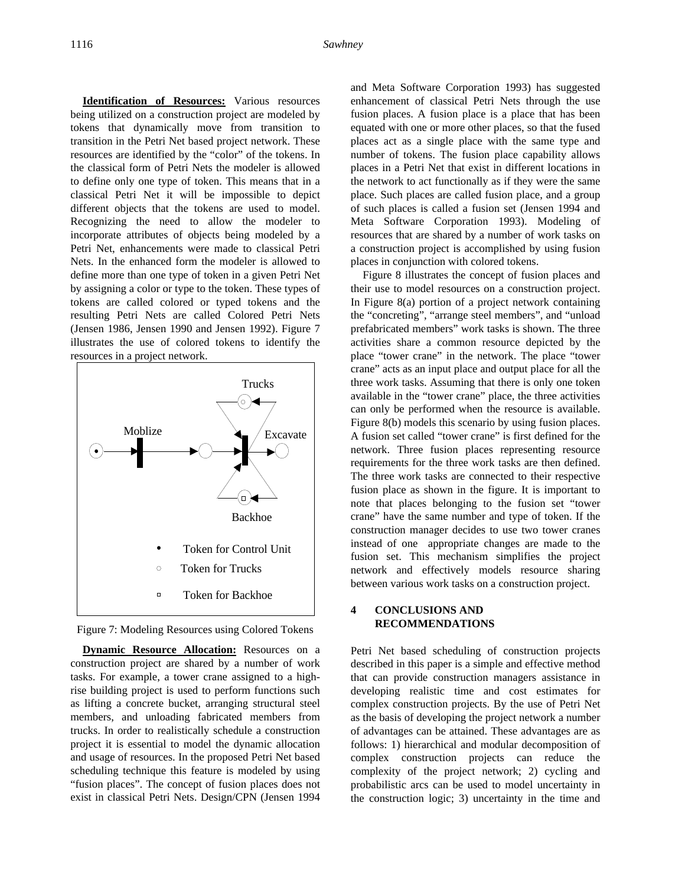**Identification of Resources:** Various resources being utilized on a construction project are modeled by tokens that dynamically move from transition to transition in the Petri Net based project network. These resources are identified by the "color" of the tokens. In the classical form of Petri Nets the modeler is allowed to define only one type of token. This means that in a classical Petri Net it will be impossible to depict different objects that the tokens are used to model. Recognizing the need to allow the modeler to incorporate attributes of objects being modeled by a Petri Net, enhancements were made to classical Petri Nets. In the enhanced form the modeler is allowed to define more than one type of token in a given Petri Net by assigning a color or type to the token. These types of tokens are called colored or typed tokens and the resulting Petri Nets are called Colored Petri Nets (Jensen 1986, Jensen 1990 and Jensen 1992). Figure 7 illustrates the use of colored tokens to identify the resources in a project network.



Figure 7: Modeling Resources using Colored Tokens

**Dynamic Resource Allocation:** Resources on a construction project are shared by a number of work tasks. For example, a tower crane assigned to a highrise building project is used to perform functions such as lifting a concrete bucket, arranging structural steel members, and unloading fabricated members from trucks. In order to realistically schedule a construction project it is essential to model the dynamic allocation and usage of resources. In the proposed Petri Net based scheduling technique this feature is modeled by using "fusion places". The concept of fusion places does not exist in classical Petri Nets. Design/CPN (Jensen 1994

and Meta Software Corporation 1993) has suggested enhancement of classical Petri Nets through the use fusion places. A fusion place is a place that has been equated with one or more other places, so that the fused places act as a single place with the same type and number of tokens. The fusion place capability allows places in a Petri Net that exist in different locations in the network to act functionally as if they were the same place. Such places are called fusion place, and a group of such places is called a fusion set (Jensen 1994 and Meta Software Corporation 1993). Modeling of resources that are shared by a number of work tasks on a construction project is accomplished by using fusion places in conjunction with colored tokens.

Figure 8 illustrates the concept of fusion places and their use to model resources on a construction project. In Figure 8(a) portion of a project network containing the "concreting", "arrange steel members", and "unload prefabricated members" work tasks is shown. The three activities share a common resource depicted by the place "tower crane" in the network. The place "tower crane" acts as an input place and output place for all the three work tasks. Assuming that there is only one token available in the "tower crane" place, the three activities can only be performed when the resource is available. Figure 8(b) models this scenario by using fusion places. A fusion set called "tower crane" is first defined for the network. Three fusion places representing resource requirements for the three work tasks are then defined. The three work tasks are connected to their respective fusion place as shown in the figure. It is important to note that places belonging to the fusion set "tower crane" have the same number and type of token. If the construction manager decides to use two tower cranes instead of one appropriate changes are made to the fusion set. This mechanism simplifies the project network and effectively models resource sharing between various work tasks on a construction project.

### **4 CONCLUSIONS AND RECOMMENDATIONS**

Petri Net based scheduling of construction projects described in this paper is a simple and effective method that can provide construction managers assistance in developing realistic time and cost estimates for complex construction projects. By the use of Petri Net as the basis of developing the project network a number of advantages can be attained. These advantages are as follows: 1) hierarchical and modular decomposition of complex construction projects can reduce the complexity of the project network; 2) cycling and probabilistic arcs can be used to model uncertainty in the construction logic; 3) uncertainty in the time and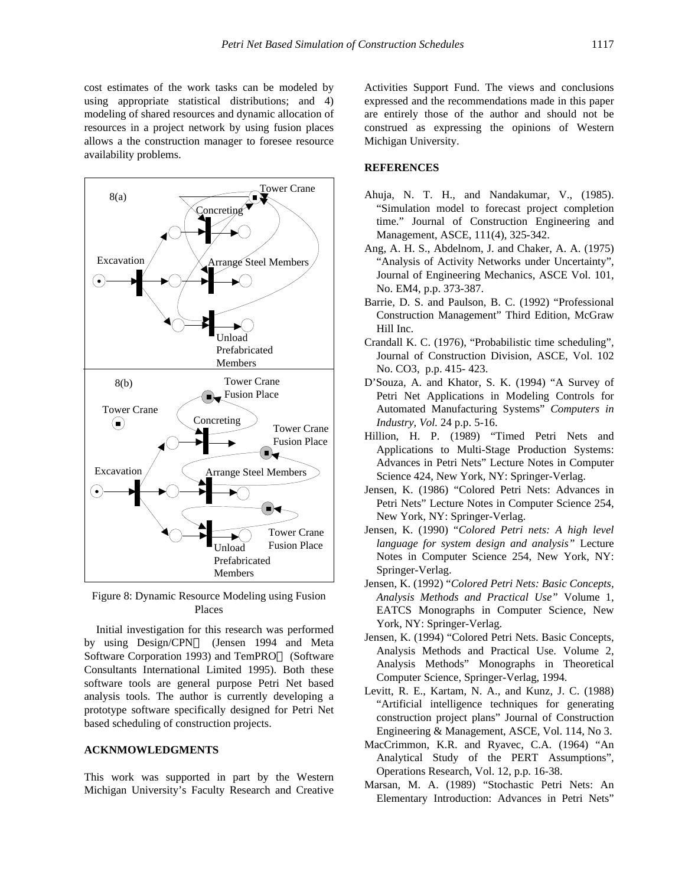cost estimates of the work tasks can be modeled by using appropriate statistical distributions; and 4) modeling of shared resources and dynamic allocation of resources in a project network by using fusion places allows a the construction manager to foresee resource availability problems.



Figure 8: Dynamic Resource Modeling using Fusion Places

Initial investigation for this research was performed by using Design/CPN<sup>TM</sup> (Jensen 1994 and Meta Software Corporation 1993) and TemPRO™ (Software Consultants International Limited 1995). Both these software tools are general purpose Petri Net based analysis tools. The author is currently developing a prototype software specifically designed for Petri Net based scheduling of construction projects.

# **ACKNMOWLEDGMENTS**

This work was supported in part by the Western Michigan University's Faculty Research and Creative Activities Support Fund. The views and conclusions expressed and the recommendations made in this paper are entirely those of the author and should not be construed as expressing the opinions of Western Michigan University.

#### **REFERENCES**

- Ahuja, N. T. H., and Nandakumar, V., (1985). "Simulation model to forecast project completion time." Journal of Construction Engineering and Management, ASCE, 111(4), 325-342.
- Ang, A. H. S., Abdelnom, J. and Chaker, A. A. (1975) "Analysis of Activity Networks under Uncertainty", Journal of Engineering Mechanics, ASCE Vol. 101, No. EM4, p.p. 373-387.
- Barrie, D. S. and Paulson, B. C. (1992) "Professional Construction Management" Third Edition, McGraw Hill Inc.
- Crandall K. C. (1976), "Probabilistic time scheduling", Journal of Construction Division, ASCE, Vol. 102 No. CO3, p.p. 415- 423.
- D'Souza, A. and Khator, S. K. (1994) "A Survey of Petri Net Applications in Modeling Controls for Automated Manufacturing Systems" *Computers in Industry, Vol.* 24 p.p. 5-16.
- Hillion, H. P. (1989) "Timed Petri Nets and Applications to Multi-Stage Production Systems: Advances in Petri Nets" Lecture Notes in Computer Science 424, New York, NY: Springer-Verlag.
- Jensen, K. (1986) "Colored Petri Nets: Advances in Petri Nets" Lecture Notes in Computer Science 254, New York, NY: Springer-Verlag.
- Jensen, K. (1990) "*Colored Petri nets: A high level language for system design and analysis"* Lecture Notes in Computer Science 254, New York, NY: Springer-Verlag.
- Jensen, K. (1992) "*Colored Petri Nets: Basic Concepts, Analysis Methods and Practical Use"* Volume 1, EATCS Monographs in Computer Science, New York, NY: Springer-Verlag.
- Jensen, K. (1994) "Colored Petri Nets. Basic Concepts, Analysis Methods and Practical Use. Volume 2, Analysis Methods" Monographs in Theoretical Computer Science, Springer-Verlag, 1994.
- Levitt, R. E., Kartam, N. A., and Kunz, J. C. (1988) "Artificial intelligence techniques for generating construction project plans" Journal of Construction Engineering & Management, ASCE, Vol. 114, No 3.
- MacCrimmon, K.R. and Ryavec, C.A. (1964) "An Analytical Study of the PERT Assumptions", Operations Research, Vol. 12, p.p. 16-38.
- Marsan, M. A. (1989) "Stochastic Petri Nets: An Elementary Introduction: Advances in Petri Nets"